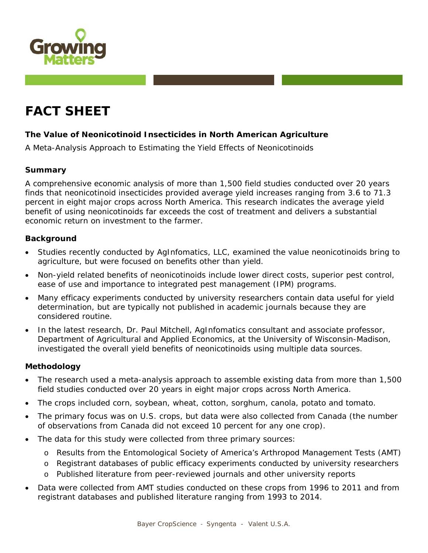

# **FACT SHEET**

# **The Value of Neonicotinoid Insecticides in North American Agriculture**

*A Meta-Analysis Approach to Estimating the Yield Effects of Neonicotinoids* 

# **Summary**

A comprehensive economic analysis of more than 1,500 field studies conducted over 20 years finds that neonicotinoid insecticides provided average yield increases ranging from 3.6 to 71.3 percent in eight major crops across North America. This research indicates the average yield benefit of using neonicotinoids far exceeds the cost of treatment and delivers a substantial economic return on investment to the farmer.

## **Background**

- Studies recently conducted by AgInfomatics, LLC, examined the value neonicotinoids bring to agriculture, but were focused on benefits other than yield.
- Non-yield related benefits of neonicotinoids include lower direct costs, superior pest control, ease of use and importance to integrated pest management (IPM) programs.
- Many efficacy experiments conducted by university researchers contain data useful for yield determination, but are typically not published in academic journals because they are considered routine.
- In the latest research, Dr. Paul Mitchell, AgInfomatics consultant and associate professor, Department of Agricultural and Applied Economics, at the University of Wisconsin-Madison, investigated the overall yield benefits of neonicotinoids using multiple data sources.

## **Methodology**

- The research used a meta-analysis approach to assemble existing data from more than 1,500 field studies conducted over 20 years in eight major crops across North America.
- The crops included corn, soybean, wheat, cotton, sorghum, canola, potato and tomato.
- The primary focus was on U.S. crops, but data were also collected from Canada (the number of observations from Canada did not exceed 10 percent for any one crop).
- The data for this study were collected from three primary sources:
	- o Results from the Entomological Society of America's *Arthropod Management Tests (AMT)*
	- o Registrant databases of public efficacy experiments conducted by university researchers
	- o Published literature from peer-reviewed journals and other university reports
- Data were collected from AMT studies conducted on these crops from 1996 to 2011 and from registrant databases and published literature ranging from 1993 to 2014.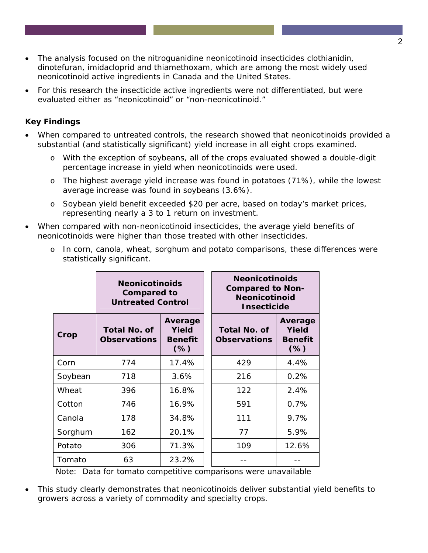- The analysis focused on the nitroguanidine neonicotinoid insecticides clothianidin, dinotefuran, imidacloprid and thiamethoxam, which are among the most widely used neonicotinoid active ingredients in Canada and the United States.
- For this research the insecticide active ingredients were not differentiated, but were evaluated either as "neonicotinoid" or "non-neonicotinoid."

# **Key Findings**

- When compared to untreated controls, the research showed that neonicotinoids provided a substantial (and statistically significant) yield increase in all eight crops examined.
	- o With the exception of soybeans, all of the crops evaluated showed a double-digit percentage increase in yield when neonicotinoids were used.
	- o The highest average yield increase was found in potatoes (71%), while the lowest average increase was found in soybeans (3.6%).
	- o Soybean yield benefit exceeded \$20 per acre, based on today's market prices, representing nearly a 3 to 1 return on investment.
- When compared with non-neonicotinoid insecticides, the average yield benefits of neonicotinoids were higher than those treated with other insecticides.

|         | <b>Neonicotinoids</b><br><b>Compared to</b><br><b>Untreated Control</b> |                                              | <b>Neonicotinoids</b><br><b>Compared to Non-</b><br><b>Neonicotinoid</b><br><b>Insecticide</b> |                                              |
|---------|-------------------------------------------------------------------------|----------------------------------------------|------------------------------------------------------------------------------------------------|----------------------------------------------|
| Crop    | <b>Total No. of</b><br><b>Observations</b>                              | Average<br>Yield<br><b>Benefit</b><br>$(\%)$ | <b>Total No. of</b><br><b>Observations</b>                                                     | Average<br>Yield<br><b>Benefit</b><br>$(\%)$ |
| Corn    | 774                                                                     | 17.4%                                        | 429                                                                                            | 4.4%                                         |
| Soybean | 718                                                                     | 3.6%                                         | 216                                                                                            | 0.2%                                         |
| Wheat   | 396                                                                     | 16.8%                                        | 122                                                                                            | 2.4%                                         |
| Cotton  | 746                                                                     | 16.9%                                        | 591                                                                                            | 0.7%                                         |
| Canola  | 178                                                                     | 34.8%                                        | 111                                                                                            | 9.7%                                         |
| Sorghum | 162                                                                     | 20.1%                                        | 77                                                                                             | 5.9%                                         |
| Potato  | 306                                                                     | 71.3%                                        | 109                                                                                            | 12.6%                                        |
| Tomato  | 63                                                                      | 23.2%                                        |                                                                                                |                                              |

o In corn, canola, wheat, sorghum and potato comparisons, these differences were statistically significant.

 *Note: Data for tomato competitive comparisons were unavailable* 

• This study clearly demonstrates that neonicotinoids deliver substantial yield benefits to growers across a variety of commodity and specialty crops.